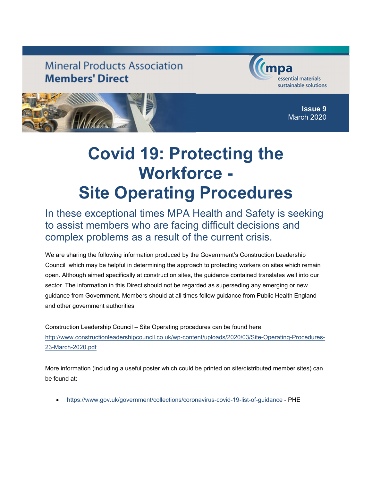## **Mineral Products Association Members' Direct**





**Issue 9** March 2020

## **Covid 19: Protecting the Workforce - Site Operating Procedures**

In these exceptional times MPA Health and Safety is seeking to assist members who are facing difficult decisions and complex problems as a result of the current crisis.

We are sharing the following information produced by the Government's Construction Leadership Council which may be helpful in determining the approach to protecting workers on sites which remain open. Although aimed specifically at construction sites, the guidance contained translates well into our sector. The information in this Direct should not be regarded as superseding any emerging or new guidance from Government. Members should at all times follow guidance from Public Health England and other government authorities

Construction Leadership Council – Site Operating procedures can be found here: http://www.constructionleadershipcouncil.co.uk/wp-content/uploads/2020/03/Site-Operating-Procedures-23-March-2020.pdf

More information (including a useful poster which could be printed on site/distributed member sites) can be found at:

• https://www.gov.uk/government/collections/coronavirus-covid-19-list-of-guidance - PHE